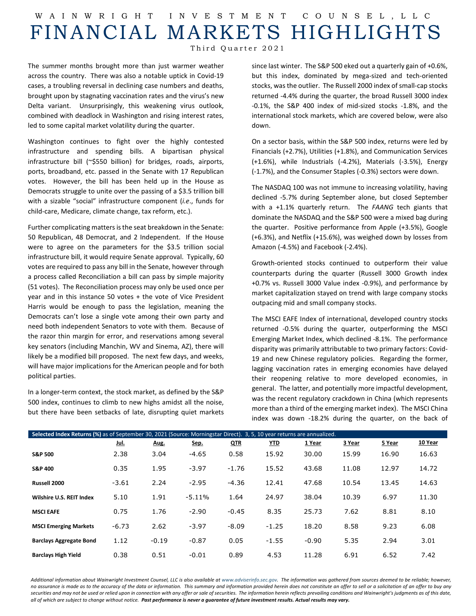## W AINWRIGHT INVESTMENT COUNSEL ,LLC FINANCIAL MARKETS HIGHLIGHTS

Third Quarter 2021

The summer months brought more than just warmer weather across the country. There was also a notable uptick in Covid-19 cases, a troubling reversal in declining case numbers and deaths, brought upon by stagnating vaccination rates and the virus's new Delta variant. Unsurprisingly, this weakening virus outlook, combined with deadlock in Washington and rising interest rates, led to some capital market volatility during the quarter.

Washington continues to fight over the highly contested infrastructure and spending bills. A bipartisan physical infrastructure bill (~\$550 billion) for bridges, roads, airports, ports, broadband, etc. passed in the Senate with 17 Republican votes. However, the bill has been held up in the House as Democrats struggle to unite over the passing of a \$3.5 trillion bill with a sizable "social" infrastructure component (*i.e*., funds for child-care, Medicare, climate change, tax reform, etc.).

Further complicating matters is the seat breakdown in the Senate: 50 Republican, 48 Democrat, and 2 Independent. If the House were to agree on the parameters for the \$3.5 trillion social infrastructure bill, it would require Senate approval. Typically, 60 votes are required to pass any bill in the Senate, however through a process called Reconciliation a bill can pass by simple majority (51 votes). The Reconciliation process may only be used once per year and in this instance 50 votes + the vote of Vice President Harris would be enough to pass the legislation, meaning the Democrats can't lose a single vote among their own party and need both independent Senators to vote with them. Because of the razor thin margin for error, and reservations among several key senators (including Manchin, WV and Sinema, AZ), there will likely be a modified bill proposed. The next few days, and weeks, will have major implications for the American people and for both political parties.

In a longer-term context, the stock market, as defined by the S&P 500 index, continues to climb to new highs amidst all the noise, but there have been setbacks of late, disrupting quiet markets

since last winter. The S&P 500 eked out a quarterly gain of +0.6%, but this index, dominated by mega-sized and tech-oriented stocks, was the outlier. The Russell 2000 index of small-cap stocks returned -4.4% during the quarter, the broad Russell 3000 index -0.1%, the S&P 400 index of mid-sized stocks -1.8%, and the international stock markets, which are covered below, were also down.

On a sector basis, within the S&P 500 index, returns were led by Financials (+2.7%), Utilities (+1.8%), and Communication Services (+1.6%), while Industrials (-4.2%), Materials (-3.5%), Energy (-1.7%), and the Consumer Staples (-0.3%) sectors were down.

The NASDAQ 100 was not immune to increasing volatility, having declined -5.7% during September alone, but closed September with a +1.1% quarterly return. The *FAANG* tech giants that dominate the NASDAQ and the S&P 500 were a mixed bag during the quarter. Positive performance from Apple (+3.5%), Google (+6.3%), and Netflix (+15.6%), was weighed down by losses from Amazon (-4.5%) and Facebook (-2.4%).

Growth-oriented stocks continued to outperform their value counterparts during the quarter (Russell 3000 Growth index +0.7% vs. Russell 3000 Value index -0.9%), and performance by market capitalization stayed on trend with large company stocks outpacing mid and small company stocks.

The MSCI EAFE Index of international, developed country stocks returned -0.5% during the quarter, outperforming the MSCI Emerging Market Index, which declined -8.1%. The performance disparity was primarily attributable to two primary factors: Covid-19 and new Chinese regulatory policies. Regarding the former, lagging vaccination rates in emerging economies have delayed their reopening relative to more developed economies, in general. The latter, and potentially more impactful development, was the recent regulatory crackdown in China (which represents more than a third of the emerging market index). The MSCI China index was down -18.2% during the quarter, on the back of

| Selected Index Returns (%) as of September 30, 2021 (Source: Morningstar Direct). 3, 5, 10 year returns are annualized. |             |         |          |            |            |         |        |        |         |  |  |
|-------------------------------------------------------------------------------------------------------------------------|-------------|---------|----------|------------|------------|---------|--------|--------|---------|--|--|
|                                                                                                                         | <u>Jul.</u> | Aug.    | Sep.     | <b>QTR</b> | <u>YTD</u> | 1 Year  | 3 Year | 5 Year | 10 Year |  |  |
| <b>S&amp;P 500</b>                                                                                                      | 2.38        | 3.04    | $-4.65$  | 0.58       | 15.92      | 30.00   | 15.99  | 16.90  | 16.63   |  |  |
| <b>S&amp;P 400</b>                                                                                                      | 0.35        | 1.95    | $-3.97$  | $-1.76$    | 15.52      | 43.68   | 11.08  | 12.97  | 14.72   |  |  |
| Russell 2000                                                                                                            | $-3.61$     | 2.24    | $-2.95$  | $-4.36$    | 12.41      | 47.68   | 10.54  | 13.45  | 14.63   |  |  |
| Wilshire U.S. REIT Index                                                                                                | 5.10        | 1.91    | $-5.11%$ | 1.64       | 24.97      | 38.04   | 10.39  | 6.97   | 11.30   |  |  |
| <b>MSCI EAFE</b>                                                                                                        | 0.75        | 1.76    | $-2.90$  | $-0.45$    | 8.35       | 25.73   | 7.62   | 8.81   | 8.10    |  |  |
| <b>MSCI Emerging Markets</b>                                                                                            | $-6.73$     | 2.62    | $-3.97$  | $-8.09$    | $-1.25$    | 18.20   | 8.58   | 9.23   | 6.08    |  |  |
| <b>Barclays Aggregate Bond</b>                                                                                          | 1.12        | $-0.19$ | $-0.87$  | 0.05       | $-1.55$    | $-0.90$ | 5.35   | 2.94   | 3.01    |  |  |
| <b>Barclays High Yield</b>                                                                                              | 0.38        | 0.51    | $-0.01$  | 0.89       | 4.53       | 11.28   | 6.91   | 6.52   | 7.42    |  |  |

Additional information about Wainwright Investment Counsel, LLC is also available a[t www.adviserinfo.sec.gov.](http://www.adviserinfo.sec.gov/) The information was aathered from sources deemed to be reliable; however, *no assurance is made as to the accuracy of the data or information. This summary and information provided herein does not constitute an offer to sell or a solicitation of an offer to buy any securities and may not be used or relied upon in connection with any offer or sale of securities. The information herein reflects prevailing conditions and Wainwright's judgments as of this date, all of which are subject to change without notice. Past performance is never a guarantee of future investment results. Actual results may vary.*